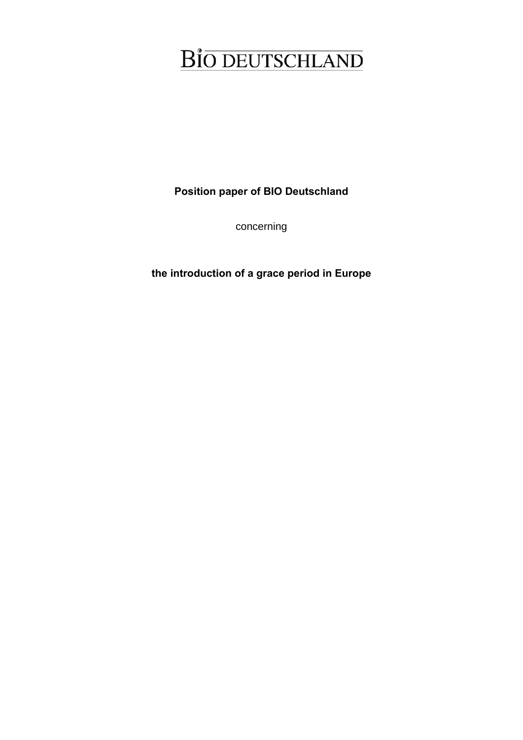**Position paper of BIO Deutschland** 

concerning

**the introduction of a grace period in Europe**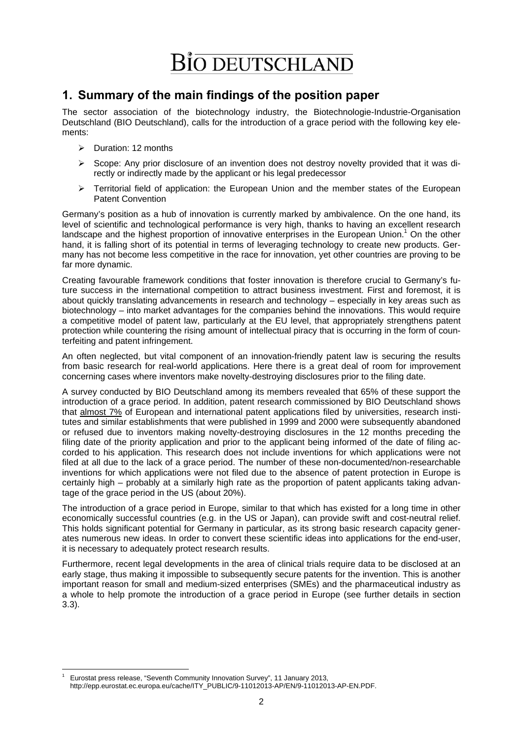## **1. Summary of the main findings of the position paper**

The sector association of the biotechnology industry, the Biotechnologie-Industrie-Organisation Deutschland (BIO Deutschland), calls for the introduction of a grace period with the following key elements:

- $\triangleright$  Duration: 12 months
- $\triangleright$  Scope: Any prior disclosure of an invention does not destroy novelty provided that it was directly or indirectly made by the applicant or his legal predecessor
- $\triangleright$  Territorial field of application: the European Union and the member states of the European Patent Convention

Germany's position as a hub of innovation is currently marked by ambivalence. On the one hand, its level of scientific and technological performance is very high, thanks to having an excellent research landscape and the highest proportion of innovative enterprises in the European Union.<sup>1</sup> On the other hand, it is falling short of its potential in terms of leveraging technology to create new products. Germany has not become less competitive in the race for innovation, yet other countries are proving to be far more dynamic.

Creating favourable framework conditions that foster innovation is therefore crucial to Germany's future success in the international competition to attract business investment. First and foremost, it is about quickly translating advancements in research and technology – especially in key areas such as biotechnology – into market advantages for the companies behind the innovations. This would require a competitive model of patent law, particularly at the EU level, that appropriately strengthens patent protection while countering the rising amount of intellectual piracy that is occurring in the form of counterfeiting and patent infringement.

An often neglected, but vital component of an innovation-friendly patent law is securing the results from basic research for real-world applications. Here there is a great deal of room for improvement concerning cases where inventors make novelty-destroying disclosures prior to the filing date.

A survey conducted by BIO Deutschland among its members revealed that 65% of these support the introduction of a grace period. In addition, patent research commissioned by BIO Deutschland shows that almost 7% of European and international patent applications filed by universities, research institutes and similar establishments that were published in 1999 and 2000 were subsequently abandoned or refused due to inventors making novelty-destroying disclosures in the 12 months preceding the filing date of the priority application and prior to the applicant being informed of the date of filing accorded to his application. This research does not include inventions for which applications were not filed at all due to the lack of a grace period. The number of these non-documented/non-researchable inventions for which applications were not filed due to the absence of patent protection in Europe is certainly high – probably at a similarly high rate as the proportion of patent applicants taking advantage of the grace period in the US (about 20%).

The introduction of a grace period in Europe, similar to that which has existed for a long time in other economically successful countries (e.g. in the US or Japan), can provide swift and cost-neutral relief. This holds significant potential for Germany in particular, as its strong basic research capacity generates numerous new ideas. In order to convert these scientific ideas into applications for the end-user, it is necessary to adequately protect research results.

Furthermore, recent legal developments in the area of clinical trials require data to be disclosed at an early stage, thus making it impossible to subsequently secure patents for the invention. This is another important reason for small and medium-sized enterprises (SMEs) and the pharmaceutical industry as a whole to help promote the introduction of a grace period in Europe (see further details in section 3.3).

<sup>1</sup> 1 Eurostat press release, "Seventh Community Innovation Survey", 11 January 2013, http://epp.eurostat.ec.europa.eu/cache/ITY\_PUBLIC/9-11012013-AP/EN/9-11012013-AP-EN.PDF.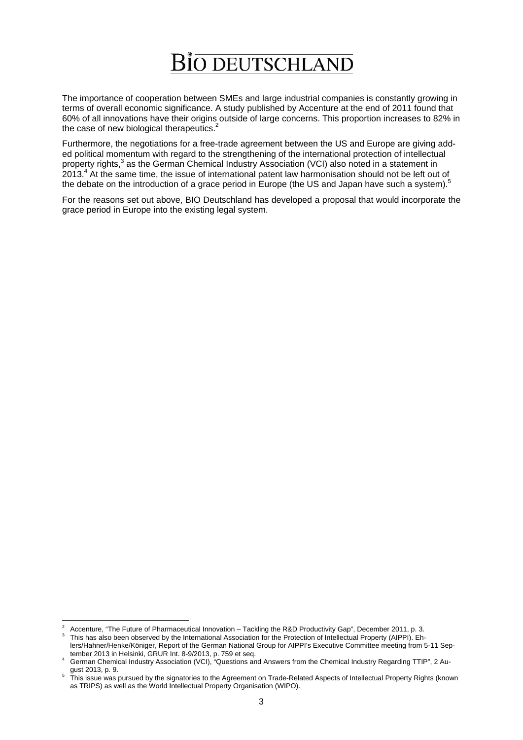The importance of cooperation between SMEs and large industrial companies is constantly growing in terms of overall economic significance. A study published by Accenture at the end of 2011 found that 60% of all innovations have their origins outside of large concerns. This proportion increases to 82% in the case of new biological therapeutics.<sup>2</sup>

Furthermore, the negotiations for a free-trade agreement between the US and Europe are giving added political momentum with regard to the strengthening of the international protection of intellectual property rights,<sup>3</sup> as the German Chemical Industry Association (VCI) also noted in a statement in 2013.4 At the same time, the issue of international patent law harmonisation should not be left out of the debate on the introduction of a grace period in Europe (the US and Japan have such a system).<sup>5</sup>

For the reasons set out above, BIO Deutschland has developed a proposal that would incorporate the grace period in Europe into the existing legal system.

 $\frac{1}{2}$ Accenture, "The Future of Pharmaceutical Innovation – Tackling the R&D Productivity Gap", December 2011, p. 3. <sup>3</sup>

This has also been observed by the International Association for the Protection of Intellectual Property (AIPPI). Ehlers/Hahner/Henke/Königer, Report of the German National Group for AIPPI's Executive Committee meeting from 5-11 Sep-

tenstriannen chementon ger, respect of the Schman Chemical Industry Arena Chemical Industry Regarding TTIP", 2 Au-<br>4 German Chemical Industry Association (VCI), "Questions and Answers from the Chemical Industry Regarding T

gust 2013, p. 9.<br>This issue was pursued by the signatories to the Agreement on Trade-Related Aspects of Intellectual Property Rights (known as TRIPS) as well as the World Intellectual Property Organisation (WIPO).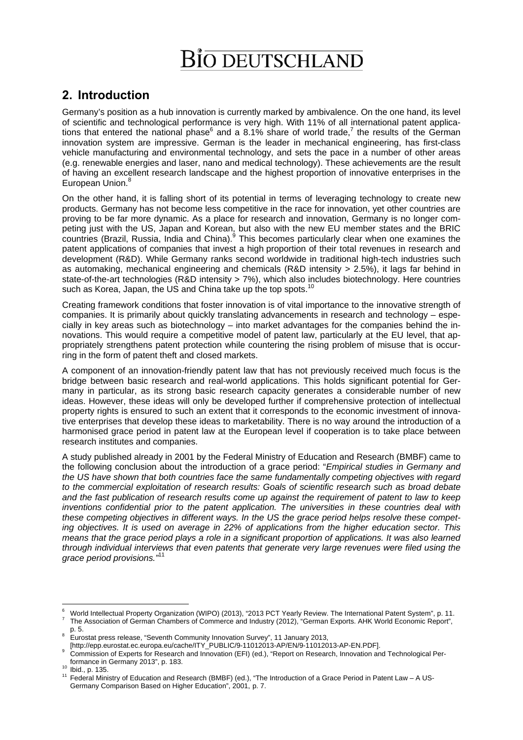# **2. Introduction**

Germany's position as a hub innovation is currently marked by ambivalence. On the one hand, its level of scientific and technological performance is very high. With 11% of all international patent applications that entered the national phase  $6$  and a 8.1% share of world trade,<sup>7</sup> the results of the German innovation system are impressive. German is the leader in mechanical engineering, has first-class vehicle manufacturing and environmental technology, and sets the pace in a number of other areas (e.g. renewable energies and laser, nano and medical technology). These achievements are the result of having an excellent research landscape and the highest proportion of innovative enterprises in the European Union.<sup>8</sup>

On the other hand, it is falling short of its potential in terms of leveraging technology to create new products. Germany has not become less competitive in the race for innovation, yet other countries are proving to be far more dynamic. As a place for research and innovation, Germany is no longer competing just with the US, Japan and Korean, but also with the new EU member states and the BRIC countries (Brazil, Russia, India and China).<sup>9</sup> This becomes particularly clear when one examines the patent applications of companies that invest a high proportion of their total revenues in research and development (R&D). While Germany ranks second worldwide in traditional high-tech industries such as automaking, mechanical engineering and chemicals (R&D intensity > 2.5%), it lags far behind in state-of-the-art technologies (R&D intensity > 7%), which also includes biotechnology. Here countries such as Korea, Japan, the US and China take up the top spots.

Creating framework conditions that foster innovation is of vital importance to the innovative strength of companies. It is primarily about quickly translating advancements in research and technology – especially in key areas such as biotechnology – into market advantages for the companies behind the innovations. This would require a competitive model of patent law, particularly at the EU level, that appropriately strengthens patent protection while countering the rising problem of misuse that is occurring in the form of patent theft and closed markets.

A component of an innovation-friendly patent law that has not previously received much focus is the bridge between basic research and real-world applications. This holds significant potential for Germany in particular, as its strong basic research capacity generates a considerable number of new ideas. However, these ideas will only be developed further if comprehensive protection of intellectual property rights is ensured to such an extent that it corresponds to the economic investment of innovative enterprises that develop these ideas to marketability. There is no way around the introduction of a harmonised grace period in patent law at the European level if cooperation is to take place between research institutes and companies.

A study published already in 2001 by the Federal Ministry of Education and Research (BMBF) came to the following conclusion about the introduction of a grace period: "*Empirical studies in Germany and the US have shown that both countries face the same fundamentally competing objectives with regard to the commercial exploitation of research results: Goals of scientific research such as broad debate and the fast publication of research results come up against the requirement of patent to law to keep inventions confidential prior to the patent application. The universities in these countries deal with these competing objectives in different ways. In the US the grace period helps resolve these competing objectives. It is used on average in 22% of applications from the higher education sector. This means that the grace period plays a role in a significant proportion of applications. It was also learned through individual interviews that even patents that generate very large revenues were filed using the grace period provisions."*<sup>11</sup>

<sup>1</sup> 6 World Intellectual Property Organization (WIPO) (2013), "2013 PCT Yearly Review. The International Patent System". p. 11. The Association of German Chambers of Commerce and Industry (2012), "German Exports. AHK World Economic Report",

p. 5. Eurostat press release, "Seventh Community Innovation Survey", 11 January 2013,

<sup>[</sup>http://epp.eurostat.ec.europa.eu/cache/ITY\_PUBLIC/9-11012013-AP/EN/9-11012013-AP-EN.PDF].

Commission of Experts for Research and Innovation (EFI) (ed.), "Report on Research, Innovation and Technological Per-

formance in Germany 2013", p. 183.<br><sup>10</sup> Ibid., p. 135.<br><sup>11</sup> Federal Ministry of Education and Research (BMBF) (ed.), "The Introduction of a Grace Period in Patent Law – A US-Germany Comparison Based on Higher Education", 2001, p. 7.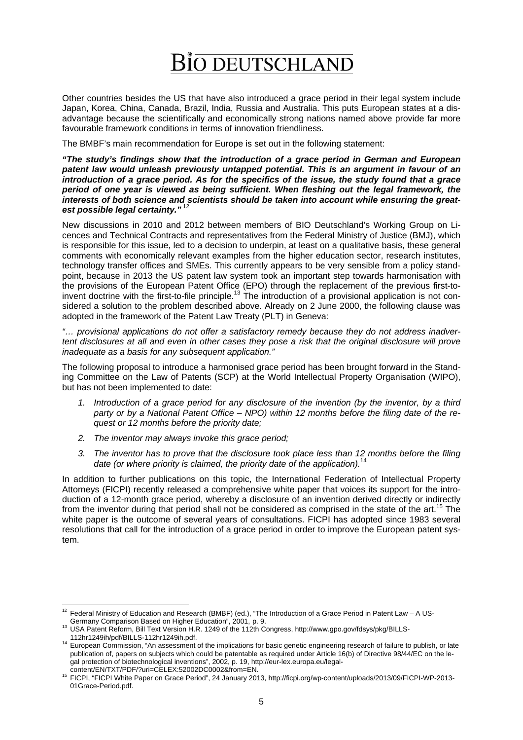Other countries besides the US that have also introduced a grace period in their legal system include Japan, Korea, China, Canada, Brazil, India, Russia and Australia. This puts European states at a disadvantage because the scientifically and economically strong nations named above provide far more favourable framework conditions in terms of innovation friendliness.

The BMBF's main recommendation for Europe is set out in the following statement:

*"The study's findings show that the introduction of a grace period in German and European patent law would unleash previously untapped potential. This is an argument in favour of an introduction of a grace period. As for the specifics of the issue, the study found that a grace period of one year is viewed as being sufficient. When fleshing out the legal framework, the interests of both science and scientists should be taken into account while ensuring the greatest possible legal certainty."*<sup>12</sup>

New discussions in 2010 and 2012 between members of BIO Deutschland's Working Group on Licences and Technical Contracts and representatives from the Federal Ministry of Justice (BMJ), which is responsible for this issue, led to a decision to underpin, at least on a qualitative basis, these general comments with economically relevant examples from the higher education sector, research institutes, technology transfer offices and SMEs. This currently appears to be very sensible from a policy standpoint, because in 2013 the US patent law system took an important step towards harmonisation with the provisions of the European Patent Office (EPO) through the replacement of the previous first-toinvent doctrine with the first-to-file principle.<sup>13</sup> The introduction of a provisional application is not considered a solution to the problem described above. Already on 2 June 2000, the following clause was adopted in the framework of the Patent Law Treaty (PLT) in Geneva:

*"… provisional applications do not offer a satisfactory remedy because they do not address inadvertent disclosures at all and even in other cases they pose a risk that the original disclosure will prove inadequate as a basis for any subsequent application."* 

The following proposal to introduce a harmonised grace period has been brought forward in the Standing Committee on the Law of Patents (SCP) at the World Intellectual Property Organisation (WIPO), but has not been implemented to date:

- *1. Introduction of a grace period for any disclosure of the invention (by the inventor, by a third party or by a National Patent Office – NPO) within 12 months before the filing date of the request or 12 months before the priority date;*
- *2. The inventor may always invoke this grace period;*
- *3. The inventor has to prove that the disclosure took place less than 12 months before the filing date (or where priority is claimed, the priority date of the application).*<sup>14</sup>

In addition to further publications on this topic, the International Federation of Intellectual Property Attorneys (FICPI) recently released a comprehensive white paper that voices its support for the introduction of a 12-month grace period, whereby a disclosure of an invention derived directly or indirectly from the inventor during that period shall not be considered as comprised in the state of the art.<sup>15</sup> The white paper is the outcome of several years of consultations. FICPI has adopted since 1983 several resolutions that call for the introduction of a grace period in order to improve the European patent system.

<sup>1</sup>  $12$  Federal Ministry of Education and Research (BMBF) (ed.), "The Introduction of a Grace Period in Patent Law – A US-

Germany Comparison Based on Higher Education", 2001, p. 9.<br>
<sup>13</sup> USA Patent Reform, Bill Text Version H.R. 1249 of the 112th Congress, http://www.gpo.gov/fdsys/pkg/BILLS-<br>
112hr1249ih/pdf/BILLS-112hr1249ih.pdf.

<sup>14</sup> European Commission, "An assessment of the implications for basic genetic engineering research of failure to publish, or late publication of, papers on subjects which could be patentable as required under Article 16(b) of Directive 98/44/EC on the legal protection of biotechnological inventions", 2002, p. 19, http://eur-lex.europa.eu/legal-

content/EN/TXT/PDF/?uri=CELEX:52002DC0002&from=EN. 2013, http://ficpi.org/wp-content/uploads/2013/09/FICPI-WP-2013-01Grace-Period.pdf.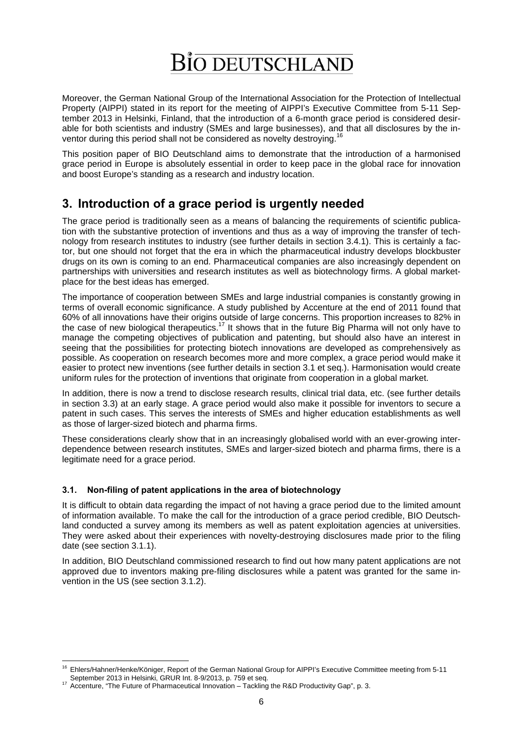Moreover, the German National Group of the International Association for the Protection of Intellectual Property (AIPPI) stated in its report for the meeting of AIPPI's Executive Committee from 5-11 September 2013 in Helsinki, Finland, that the introduction of a 6-month grace period is considered desirable for both scientists and industry (SMEs and large businesses), and that all disclosures by the inventor during this period shall not be considered as novelty destroying.<sup>1</sup>

This position paper of BIO Deutschland aims to demonstrate that the introduction of a harmonised grace period in Europe is absolutely essential in order to keep pace in the global race for innovation and boost Europe's standing as a research and industry location.

# **3. Introduction of a grace period is urgently needed**

The grace period is traditionally seen as a means of balancing the requirements of scientific publication with the substantive protection of inventions and thus as a way of improving the transfer of technology from research institutes to industry (see further details in section 3.4.1). This is certainly a factor, but one should not forget that the era in which the pharmaceutical industry develops blockbuster drugs on its own is coming to an end. Pharmaceutical companies are also increasingly dependent on partnerships with universities and research institutes as well as biotechnology firms. A global marketplace for the best ideas has emerged.

The importance of cooperation between SMEs and large industrial companies is constantly growing in terms of overall economic significance. A study published by Accenture at the end of 2011 found that 60% of all innovations have their origins outside of large concerns. This proportion increases to 82% in the case of new biological therapeutics.<sup>17</sup> It shows that in the future Big Pharma will not only have to manage the competing objectives of publication and patenting, but should also have an interest in seeing that the possibilities for protecting biotech innovations are developed as comprehensively as possible. As cooperation on research becomes more and more complex, a grace period would make it easier to protect new inventions (see further details in section 3.1 et seq.). Harmonisation would create uniform rules for the protection of inventions that originate from cooperation in a global market.

In addition, there is now a trend to disclose research results, clinical trial data, etc. (see further details in section 3.3) at an early stage. A grace period would also make it possible for inventors to secure a patent in such cases. This serves the interests of SMEs and higher education establishments as well as those of larger-sized biotech and pharma firms.

These considerations clearly show that in an increasingly globalised world with an ever-growing interdependence between research institutes, SMEs and larger-sized biotech and pharma firms, there is a legitimate need for a grace period.

## **3.1. Non-filing of patent applications in the area of biotechnology**

It is difficult to obtain data regarding the impact of not having a grace period due to the limited amount of information available. To make the call for the introduction of a grace period credible, BIO Deutschland conducted a survey among its members as well as patent exploitation agencies at universities. They were asked about their experiences with novelty-destroying disclosures made prior to the filing date (see section 3.1.1).

In addition, BIO Deutschland commissioned research to find out how many patent applications are not approved due to inventors making pre-filing disclosures while a patent was granted for the same invention in the US (see section 3.1.2).

1

<sup>&</sup>lt;sup>16</sup> Ehlers/Hahner/Henke/Königer, Report of the German National Group for AIPPI's Executive Committee meeting from 5-11 September 2013 in Helsinki, GRUR Int. 8-9/2013, p. 759 et seq.<br>
<sup>17</sup> Accenture, "The Future of Pharmaceutical Innovation – Tackling the R&D Productivity Gap", p. 3.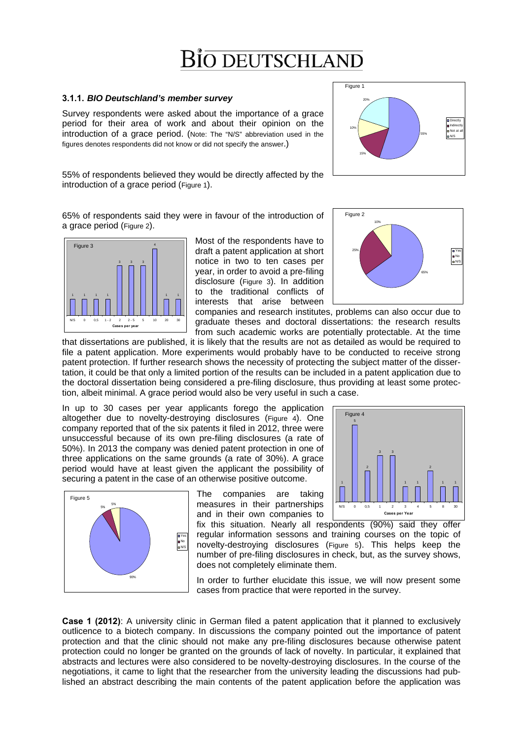# Bio deutschland

### **3.1.1.** *BIO Deutschland's member survey*

Survey respondents were asked about the importance of a grace period for their area of work and about their opinion on the introduction of a grace period. (Note: The "N/S" abbreviation used in the figures denotes respondents did not know or did not specify the answer.)

55% of respondents believed they would be directly affected by the introduction of a grace period (Figure 1).

65% of respondents said they were in favour of the introduction of a grace period (Figure 2).



Most of the respondents have to draft a patent application at short notice in two to ten cases per year, in order to avoid a pre-filing disclosure (Figure 3). In addition to the traditional conflicts of interests that arise between

65% 25% Yes No N/S

10%

Figure 2

companies and research institutes, problems can also occur due to graduate theses and doctoral dissertations: the research results from such academic works are potentially protectable. At the time

that dissertations are published, it is likely that the results are not as detailed as would be required to file a patent application. More experiments would probably have to be conducted to receive strong patent protection. If further research shows the necessity of protecting the subject matter of the dissertation, it could be that only a limited portion of the results can be included in a patent application due to the doctoral dissertation being considered a pre-filing disclosure, thus providing at least some protection, albeit minimal. A grace period would also be very useful in such a case.

In up to 30 cases per year applicants forego the application altogether due to novelty-destroying disclosures (Figure 4). One company reported that of the six patents it filed in 2012, three were unsuccessful because of its own pre-filing disclosures (a rate of 50%). In 2013 the company was denied patent protection in one of three applications on the same grounds (a rate of 30%). A grace period would have at least given the applicant the possibility of securing a patent in the case of an otherwise positive outcome.



The companies are taking measures in their partnerships and in their own companies to

1 1 1 1 1 N/S 0 0,5 1 2 3 4 5 8 30 **Cases per Year** fix this situation. Nearly all respondents (90%) said they offer

Figure 4

2

3 3

2

regular information sessons and training courses on the topic of novelty-destroying disclosures (Figure 5). This helps keep the number of pre-filing disclosures in check, but, as the survey shows, does not completely eliminate them.

In order to further elucidate this issue, we will now present some cases from practice that were reported in the survey.

**Case 1 (2012)**: A university clinic in German filed a patent application that it planned to exclusively outlicence to a biotech company. In discussions the company pointed out the importance of patent protection and that the clinic should not make any pre-filing disclosures because otherwise patent protection could no longer be granted on the grounds of lack of novelty. In particular, it explained that abstracts and lectures were also considered to be novelty-destroying disclosures. In the course of the negotiations, it came to light that the researcher from the university leading the discussions had published an abstract describing the main contents of the patent application before the application was

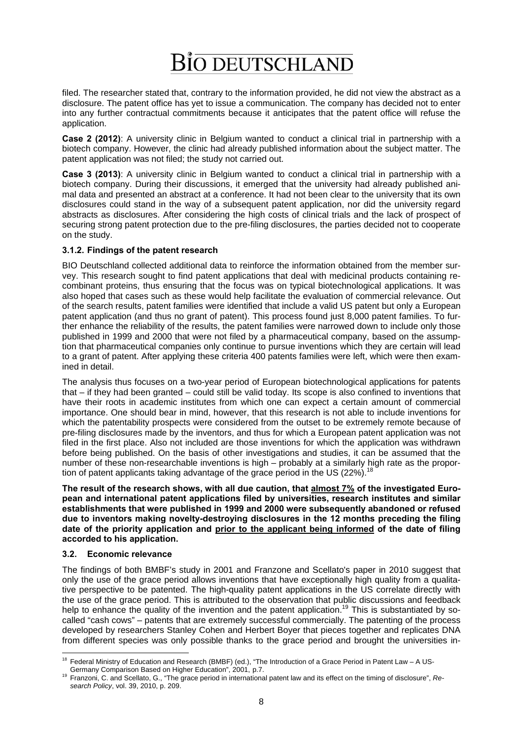filed. The researcher stated that, contrary to the information provided, he did not view the abstract as a disclosure. The patent office has yet to issue a communication. The company has decided not to enter into any further contractual commitments because it anticipates that the patent office will refuse the application.

**Case 2 (2012)**: A university clinic in Belgium wanted to conduct a clinical trial in partnership with a biotech company. However, the clinic had already published information about the subject matter. The patent application was not filed; the study not carried out.

**Case 3 (2013)**: A university clinic in Belgium wanted to conduct a clinical trial in partnership with a biotech company. During their discussions, it emerged that the university had already published animal data and presented an abstract at a conference. It had not been clear to the university that its own disclosures could stand in the way of a subsequent patent application, nor did the university regard abstracts as disclosures. After considering the high costs of clinical trials and the lack of prospect of securing strong patent protection due to the pre-filing disclosures, the parties decided not to cooperate on the study.

## **3.1.2. Findings of the patent research**

BIO Deutschland collected additional data to reinforce the information obtained from the member survey. This research sought to find patent applications that deal with medicinal products containing recombinant proteins, thus ensuring that the focus was on typical biotechnological applications. It was also hoped that cases such as these would help facilitate the evaluation of commercial relevance. Out of the search results, patent families were identified that include a valid US patent but only a European patent application (and thus no grant of patent). This process found just 8,000 patent families. To further enhance the reliability of the results, the patent families were narrowed down to include only those published in 1999 and 2000 that were not filed by a pharmaceutical company, based on the assumption that pharmaceutical companies only continue to pursue inventions which they are certain will lead to a grant of patent. After applying these criteria 400 patents families were left, which were then examined in detail.

The analysis thus focuses on a two-year period of European biotechnological applications for patents that – if they had been granted – could still be valid today. Its scope is also confined to inventions that have their roots in academic institutes from which one can expect a certain amount of commercial importance. One should bear in mind, however, that this research is not able to include inventions for which the patentability prospects were considered from the outset to be extremely remote because of pre-filing disclosures made by the inventors, and thus for which a European patent application was not filed in the first place. Also not included are those inventions for which the application was withdrawn before being published. On the basis of other investigations and studies, it can be assumed that the number of these non-researchable inventions is high – probably at a similarly high rate as the proportion of patent applicants taking advantage of the grace period in the US (22%).<sup>18</sup>

**The result of the research shows, with all due caution, that almost 7% of the investigated European and international patent applications filed by universities, research institutes and similar establishments that were published in 1999 and 2000 were subsequently abandoned or refused due to inventors making novelty-destroying disclosures in the 12 months preceding the filing date of the priority application and prior to the applicant being informed of the date of filing accorded to his application.**

### **3.2. Economic relevance**

The findings of both BMBF's study in 2001 and Franzone and Scellato's paper in 2010 suggest that only the use of the grace period allows inventions that have exceptionally high quality from a qualitative perspective to be patented. The high-quality patent applications in the US correlate directly with the use of the grace period. This is attributed to the observation that public discussions and feedback help to enhance the quality of the invention and the patent application.<sup>19</sup> This is substantiated by socalled "cash cows" – patents that are extremely successful commercially. The patenting of the process developed by researchers Stanley Cohen and Herbert Boyer that pieces together and replicates DNA from different species was only possible thanks to the grace period and brought the universities in-

<sup>&</sup>lt;u>.</u> <sup>18</sup> Federal Ministry of Education and Research (BMBF) (ed.), "The Introduction of a Grace Period in Patent Law – A US-

Germany Comparison Based on Higher Education", 2001, p.7. 19 Franzoni, C. and Scellato, G., "The grace period in international patent law and its effect on the timing of disclosure", *Research Policy*, vol. 39, 2010, p. 209.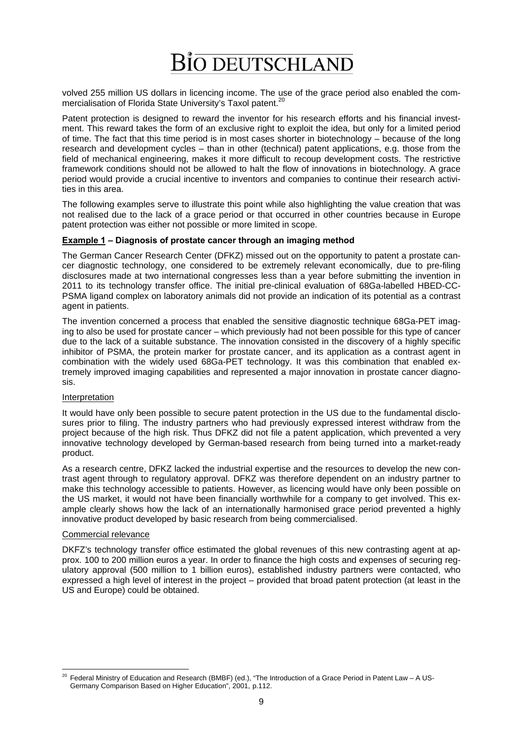volved 255 million US dollars in licencing income. The use of the grace period also enabled the commercialisation of Florida State University's Taxol patent.<sup>20</sup>

Patent protection is designed to reward the inventor for his research efforts and his financial investment. This reward takes the form of an exclusive right to exploit the idea, but only for a limited period of time. The fact that this time period is in most cases shorter in biotechnology – because of the long research and development cycles – than in other (technical) patent applications, e.g. those from the field of mechanical engineering, makes it more difficult to recoup development costs. The restrictive framework conditions should not be allowed to halt the flow of innovations in biotechnology. A grace period would provide a crucial incentive to inventors and companies to continue their research activities in this area.

The following examples serve to illustrate this point while also highlighting the value creation that was not realised due to the lack of a grace period or that occurred in other countries because in Europe patent protection was either not possible or more limited in scope.

### **Example 1 – Diagnosis of prostate cancer through an imaging method**

The German Cancer Research Center (DFKZ) missed out on the opportunity to patent a prostate cancer diagnostic technology, one considered to be extremely relevant economically, due to pre-filing disclosures made at two international congresses less than a year before submitting the invention in 2011 to its technology transfer office. The initial pre-clinical evaluation of 68Ga-labelled HBED-CC-PSMA ligand complex on laboratory animals did not provide an indication of its potential as a contrast agent in patients.

The invention concerned a process that enabled the sensitive diagnostic technique 68Ga-PET imaging to also be used for prostate cancer – which previously had not been possible for this type of cancer due to the lack of a suitable substance. The innovation consisted in the discovery of a highly specific inhibitor of PSMA, the protein marker for prostate cancer, and its application as a contrast agent in combination with the widely used 68Ga-PET technology. It was this combination that enabled extremely improved imaging capabilities and represented a major innovation in prostate cancer diagnosis.

#### Interpretation

It would have only been possible to secure patent protection in the US due to the fundamental disclosures prior to filing. The industry partners who had previously expressed interest withdraw from the project because of the high risk. Thus DFKZ did not file a patent application, which prevented a very innovative technology developed by German-based research from being turned into a market-ready product.

As a research centre, DFKZ lacked the industrial expertise and the resources to develop the new contrast agent through to regulatory approval. DFKZ was therefore dependent on an industry partner to make this technology accessible to patients. However, as licencing would have only been possible on the US market, it would not have been financially worthwhile for a company to get involved. This example clearly shows how the lack of an internationally harmonised grace period prevented a highly innovative product developed by basic research from being commercialised.

#### Commercial relevance

DKFZ's technology transfer office estimated the global revenues of this new contrasting agent at approx. 100 to 200 million euros a year. In order to finance the high costs and expenses of securing regulatory approval (500 million to 1 billion euros), established industry partners were contacted, who expressed a high level of interest in the project – provided that broad patent protection (at least in the US and Europe) could be obtained.

 $20$ 20 Federal Ministry of Education and Research (BMBF) (ed.), "The Introduction of a Grace Period in Patent Law – A US-Germany Comparison Based on Higher Education", 2001, p.112.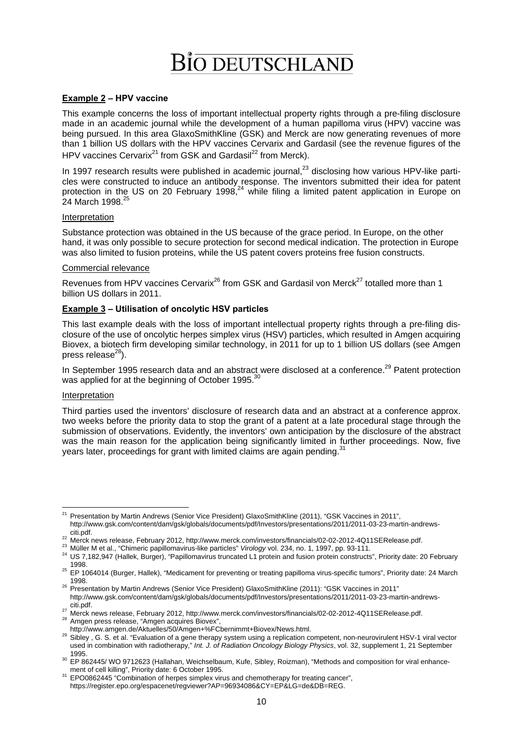### **Example 2 – HPV vaccine**

This example concerns the loss of important intellectual property rights through a pre-filing disclosure made in an academic journal while the development of a human papilloma virus (HPV) vaccine was being pursued. In this area GlaxoSmithKline (GSK) and Merck are now generating revenues of more than 1 billion US dollars with the HPV vaccines Cervarix and Gardasil (see the revenue figures of the HPV vaccines Cervarix<sup>21</sup> from GSK and Gardasil<sup>22</sup> from Merck).

In 1997 research results were published in academic journal, $^{23}$  disclosing how various HPV-like particles were constructed to induce an antibody response. The inventors submitted their idea for patent protection in the US on 20 February 1998,<sup>24</sup> while filing a limited patent application in Europe on 24 March 1998.<sup>25</sup>

#### Interpretation

Substance protection was obtained in the US because of the grace period. In Europe, on the other hand, it was only possible to secure protection for second medical indication. The protection in Europe was also limited to fusion proteins, while the US patent covers proteins free fusion constructs.

#### Commercial relevance

Revenues from HPV vaccines Cervarix<sup>26</sup> from GSK and Gardasil von Merck<sup>27</sup> totalled more than 1 billion US dollars in 2011.

#### **Example 3 – Utilisation of oncolytic HSV particles**

This last example deals with the loss of important intellectual property rights through a pre-filing disclosure of the use of oncolytic herpes simplex virus (HSV) particles, which resulted in Amgen acquiring Biovex, a biotech firm developing similar technology, in 2011 for up to 1 billion US dollars (see Amgen press release $^{28}$ ).

In September 1995 research data and an abstract were disclosed at a conference.<sup>29</sup> Patent protection was applied for at the beginning of October 1995.<sup>30</sup>

#### Interpretation

Third parties used the inventors' disclosure of research data and an abstract at a conference approx. two weeks before the priority data to stop the grant of a patent at a late procedural stage through the submission of observations. Evidently, the inventors' own anticipation by the disclosure of the abstract was the main reason for the application being significantly limited in further proceedings. Now, five years later, proceedings for grant with limited claims are again pending.<sup>31</sup>

<sup>1</sup> <sup>21</sup> Presentation by Martin Andrews (Senior Vice President) GlaxoSmithKline (2011), "GSK Vaccines in 2011", http://www.gsk.com/content/dam/gsk/globals/documents/pdf/Investors/presentations/2011/2011-03-23-martin-andrews-

citi.pdf.<br><sup>22</sup> Merck news release, February 2012, http://www.merck.com/investors/financials/02-02-2012-4Q11SERelease.pdf.<br><sup>23</sup> Müller M et al., "Chimeric papillomavirus-like particles" *Virology* vol. 234, no. 1, 1997, pp.

<sup>1998.&</sup>lt;br><sup>25</sup> EP 1064014 (Burger, Hallek), "Medicament for preventing or treating papilloma virus-specific tumors", Priority date: 24 March<br>1998

<sup>&</sup>lt;sup>26</sup> Presentation by Martin Andrews (Senior Vice President) GlaxoSmithKline (2011): "GSK Vaccines in 2011" http://www.gsk.com/content/dam/gsk/globals/documents/pdf/Investors/presentations/2011/2011-03-23-martin-andrews-

<sup>&</sup>lt;sup>27</sup> Merck news release, February 2012, http://www.merck.com/investors/financials/02-02-2012-4Q11SERelease.pdf.<br><sup>28</sup> Amgen press release, "Amgen acquires Biovex",<br>http://www.amgen.de/Aktuelles/50/Amgen+%FCbernimmt+Biovex/

<sup>29</sup> Sibley , G. S. et al. "Evaluation of a gene therapy system using a replication competent, non-neurovirulent HSV-1 viral vector used in combination with radiotherapy," *Int. J. of Radiation Oncology Biology Physics*, vol. 32, supplement 1, 21 September

<sup>1995.&</sup>lt;br><sup>30</sup> EP 862445/ WO 9712623 (Hallahan, Weichselbaum, Kufe, Sibley, Roizman), "Methods and composition for viral enhance-<br>1995. ment of cell killing", Priority date: 6 October 1995.

and EPO0862445 "Combination of herpes simplex virus and chemotherapy for treating cancer", https://register.epo.org/espacenet/regviewer?AP=96934086&CY=EP&LG=de&DB=REG.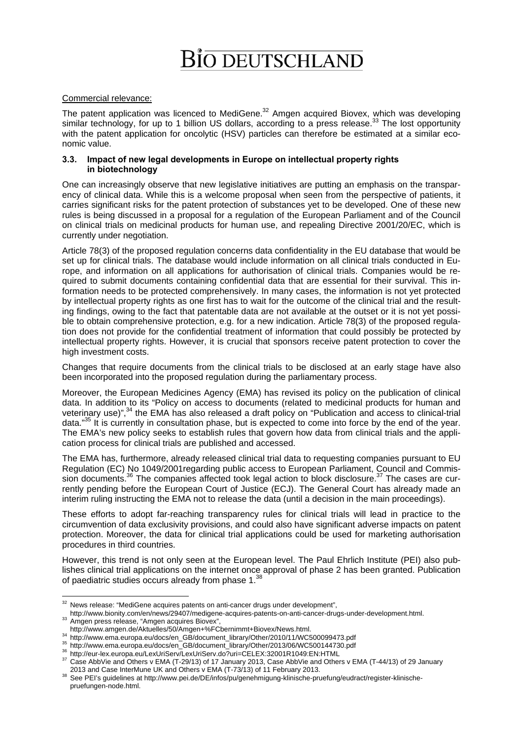# BI<del>o</del> deutschland

### Commercial relevance:

The patent application was licenced to MediGene. $32$  Amgen acquired Biovex, which was developing similar technology, for up to 1 billion US dollars, according to a press release.<sup>33</sup> The lost opportunity with the patent application for oncolytic (HSV) particles can therefore be estimated at a similar economic value.

### **3.3. Impact of new legal developments in Europe on intellectual property rights in biotechnology**

One can increasingly observe that new legislative initiatives are putting an emphasis on the transparency of clinical data. While this is a welcome proposal when seen from the perspective of patients, it carries significant risks for the patent protection of substances yet to be developed. One of these new rules is being discussed in a proposal for a regulation of the European Parliament and of the Council on clinical trials on medicinal products for human use, and repealing Directive 2001/20/EC, which is currently under negotiation.

Article 78(3) of the proposed regulation concerns data confidentiality in the EU database that would be set up for clinical trials. The database would include information on all clinical trials conducted in Europe, and information on all applications for authorisation of clinical trials. Companies would be required to submit documents containing confidential data that are essential for their survival. This information needs to be protected comprehensively. In many cases, the information is not yet protected by intellectual property rights as one first has to wait for the outcome of the clinical trial and the resulting findings, owing to the fact that patentable data are not available at the outset or it is not yet possible to obtain comprehensive protection, e.g. for a new indication. Article 78(3) of the proposed regulation does not provide for the confidential treatment of information that could possibly be protected by intellectual property rights. However, it is crucial that sponsors receive patent protection to cover the high investment costs.

Changes that require documents from the clinical trials to be disclosed at an early stage have also been incorporated into the proposed regulation during the parliamentary process.

Moreover, the European Medicines Agency (EMA) has revised its policy on the publication of clinical data. In addition to its "Policy on access to documents (related to medicinal products for human and veterinary use)",<sup>34</sup> the EMA has also released a draft policy on "Publication and access to clinical-trial data."<sup>35</sup> It is currently in consultation phase, but is expected to come into force by the end of the year. The EMA's new policy seeks to establish rules that govern how data from clinical trials and the application process for clinical trials are published and accessed.

The EMA has, furthermore, already released clinical trial data to requesting companies pursuant to EU Regulation (EC) No 1049/2001regarding public access to European Parliament, Council and Commission documents.<sup>36</sup> The companies affected took legal action to block disclosure.<sup>37</sup> The cases are currently pending before the European Court of Justice (ECJ). The General Court has already made an interim ruling instructing the EMA not to release the data (until a decision in the main proceedings).

These efforts to adopt far-reaching transparency rules for clinical trials will lead in practice to the circumvention of data exclusivity provisions, and could also have significant adverse impacts on patent protection. Moreover, the data for clinical trial applications could be used for marketing authorisation procedures in third countries.

However, this trend is not only seen at the European level. The Paul Ehrlich Institute (PEI) also publishes clinical trial applications on the internet once approval of phase 2 has been granted. Publication of paediatric studies occurs already from phase 1.<sup>38</sup>

<sup>1</sup>  $32$  News release: "MediGene acquires patents on anti-cancer drugs under development",

http://www.bionity.com/en/news/29407/medigene-acquires-patents-on-anti-cancer-drugs-under-development.html.<br>33 Amgen press release, "Amgen acquires Biovex",<br>http://www.amgen.de/Aktuelles/50/Amgen+%FCbernimmt+Biovex/News.ht

<sup>&</sup>lt;sup>34</sup> http://www.ema.europa.eu/docs/en\_GB/document\_library/Other/2010/11/WC500099473.pdf<br><sup>35</sup> http://www.ema.europa.eu/docs/en\_GB/document\_library/Other/2010/11/WC500099473.pdf<br><sup>36</sup> http://eur-lex.europa.eu/LexUriServ/LexU

<sup>2013</sup> and Case InterMune UK and Others v EMA (T-73/13) of 11 February 2013.<br><sup>38</sup> See PEI's guidelines at http://www.pei.de/DE/infos/pu/genehmigung-klinische-pruefung/eudract/register-klinischepruefungen-node.html.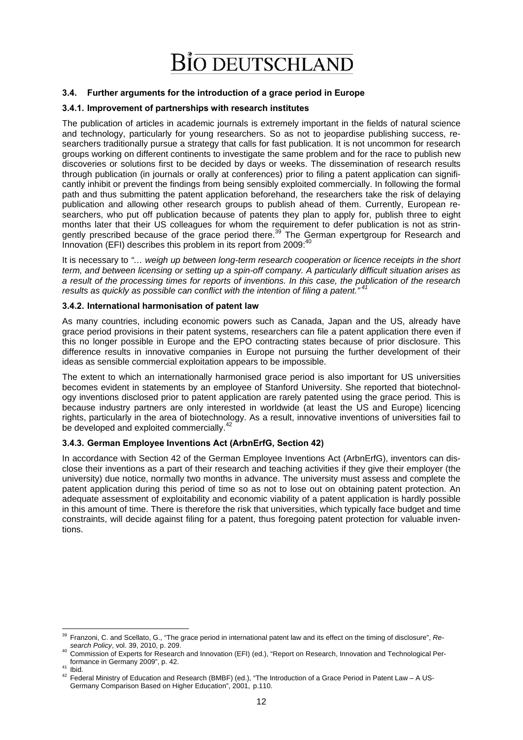### **3.4. Further arguments for the introduction of a grace period in Europe**

### **3.4.1. Improvement of partnerships with research institutes**

The publication of articles in academic journals is extremely important in the fields of natural science and technology, particularly for young researchers. So as not to jeopardise publishing success, researchers traditionally pursue a strategy that calls for fast publication. It is not uncommon for research groups working on different continents to investigate the same problem and for the race to publish new discoveries or solutions first to be decided by days or weeks. The dissemination of research results through publication (in journals or orally at conferences) prior to filing a patent application can significantly inhibit or prevent the findings from being sensibly exploited commercially. In following the formal path and thus submitting the patent application beforehand, the researchers take the risk of delaying publication and allowing other research groups to publish ahead of them. Currently, European researchers, who put off publication because of patents they plan to apply for, publish three to eight months later that their US colleagues for whom the requirement to defer publication is not as stringently prescribed because of the grace period there.<sup>39</sup> The German expertgroup for Research and Innovation (EFI) describes this problem in its report from 2009:<sup>40</sup>

It is necessary to *"… weigh up between long-term research cooperation or licence receipts in the short term, and between licensing or setting up a spin-off company. A particularly difficult situation arises as a result of the processing times for reports of inventions. In this case, the publication of the research results as quickly as possible can conflict with the intention of filing a patent." 41*

### **3.4.2. International harmonisation of patent law**

As many countries, including economic powers such as Canada, Japan and the US, already have grace period provisions in their patent systems, researchers can file a patent application there even if this no longer possible in Europe and the EPO contracting states because of prior disclosure. This difference results in innovative companies in Europe not pursuing the further development of their ideas as sensible commercial exploitation appears to be impossible.

The extent to which an internationally harmonised grace period is also important for US universities becomes evident in statements by an employee of Stanford University. She reported that biotechnology inventions disclosed prior to patent application are rarely patented using the grace period. This is because industry partners are only interested in worldwide (at least the US and Europe) licencing rights, particularly in the area of biotechnology. As a result, innovative inventions of universities fail to be developed and exploited commercially.<sup>42</sup>

### **3.4.3. German Employee Inventions Act (ArbnErfG, Section 42)**

In accordance with Section 42 of the German Employee Inventions Act (ArbnErfG), inventors can disclose their inventions as a part of their research and teaching activities if they give their employer (the university) due notice, normally two months in advance. The university must assess and complete the patent application during this period of time so as not to lose out on obtaining patent protection. An adequate assessment of exploitability and economic viability of a patent application is hardly possible in this amount of time. There is therefore the risk that universities, which typically face budget and time constraints, will decide against filing for a patent, thus foregoing patent protection for valuable inventions.

<sup>1</sup> 39 Franzoni, C. and Scellato, G., "The grace period in international patent law and its effect on the timing of disclosure", *Re-*

*search Policy*, vol. 39, 2010, p. 209.<br><sup>40</sup> Commission of Experts for Research and Innovation (EFI) (ed.), "Report on Research, Innovation and Technological Per-<br>formance in Germany 2009", p. 42.

formance in Germany 2009", p. 12.<br>41 Ibid.<br>42 Federal Ministry of Education and Research (BMBF) (ed.), "The Introduction of a Grace Period in Patent Law – A US-Germany Comparison Based on Higher Education", 2001, p.110.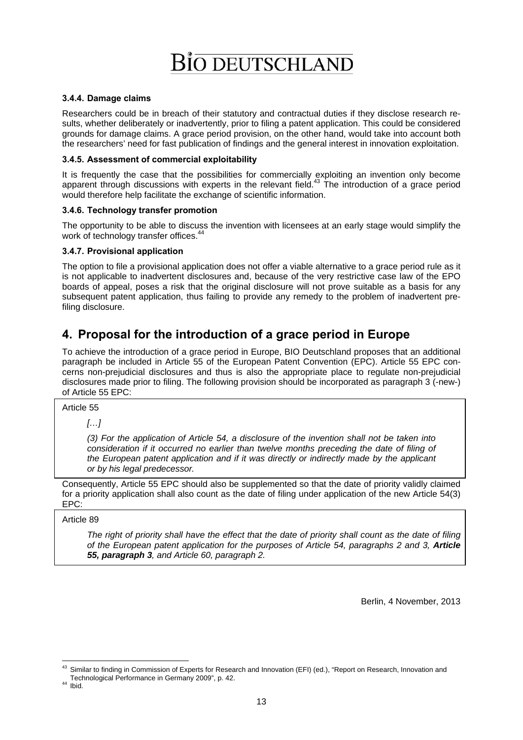### **3.4.4. Damage claims**

Researchers could be in breach of their statutory and contractual duties if they disclose research results, whether deliberately or inadvertently, prior to filing a patent application. This could be considered grounds for damage claims. A grace period provision, on the other hand, would take into account both the researchers' need for fast publication of findings and the general interest in innovation exploitation.

### **3.4.5. Assessment of commercial exploitability**

It is frequently the case that the possibilities for commercially exploiting an invention only become apparent through discussions with experts in the relevant field.<sup>43</sup> The introduction of a grace period would therefore help facilitate the exchange of scientific information.

## **3.4.6. Technology transfer promotion**

The opportunity to be able to discuss the invention with licensees at an early stage would simplify the work of technology transfer offices.<sup>44</sup>

## **3.4.7. Provisional application**

The option to file a provisional application does not offer a viable alternative to a grace period rule as it is not applicable to inadvertent disclosures and, because of the very restrictive case law of the EPO boards of appeal, poses a risk that the original disclosure will not prove suitable as a basis for any subsequent patent application, thus failing to provide any remedy to the problem of inadvertent prefiling disclosure.

# **4. Proposal for the introduction of a grace period in Europe**

To achieve the introduction of a grace period in Europe, BIO Deutschland proposes that an additional paragraph be included in Article 55 of the European Patent Convention (EPC). Article 55 EPC concerns non-prejudicial disclosures and thus is also the appropriate place to regulate non-prejudicial disclosures made prior to filing. The following provision should be incorporated as paragraph 3 (-new-) of Article 55 EPC:

Article 55

*[…]* 

*(3) For the application of Article 54, a disclosure of the invention shall not be taken into consideration if it occurred no earlier than twelve months preceding the date of filing of the European patent application and if it was directly or indirectly made by the applicant or by his legal predecessor.* 

Consequently, Article 55 EPC should also be supplemented so that the date of priority validly claimed for a priority application shall also count as the date of filing under application of the new Article 54(3) EPC:

### Article 89

*The right of priority shall have the effect that the date of priority shall count as the date of filing of the European patent application for the purposes of Article 54, paragraphs 2 and 3, Article 55, paragraph 3, and Article 60, paragraph 2.* 

Berlin, 4 November, 2013

<sup>1</sup> <sup>43</sup> Similar to finding in Commission of Experts for Research and Innovation (EFI) (ed.), "Report on Research, Innovation and Technological Performance in Germany 2009", p. 42. 44 Ibid.